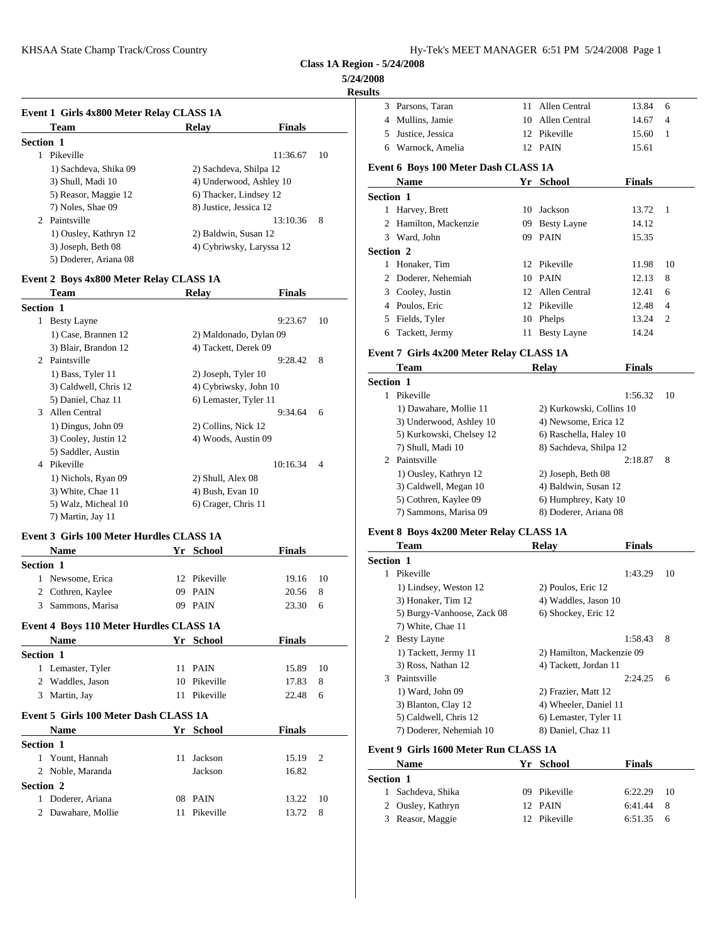**Class 1A Region - 5/24/2008**

#### **5/24/2008**

#### **Resul**

|                  | Event 1 Girls 4x800 Meter Relay CLASS 1A    |                          |               |    | 3 Parson                  |
|------------------|---------------------------------------------|--------------------------|---------------|----|---------------------------|
|                  | <b>Team</b>                                 | Relay                    | <b>Finals</b> |    | 4 Mulli                   |
| <b>Section 1</b> |                                             |                          |               |    | Justic<br>5.              |
|                  | Pikeville                                   |                          | 11:36.67      | 10 | Warn<br>6                 |
|                  | 1) Sachdeva, Shika 09                       | 2) Sachdeva, Shilpa 12   |               |    | Event 6 Bo                |
|                  | 3) Shull, Madi 10                           | 4) Underwood, Ashley 10  |               |    | <b>Nam</b>                |
|                  | 5) Reasor, Maggie 12                        | 6) Thacker, Lindsey 12   |               |    | Section 1                 |
|                  | 7) Noles, Shae 09                           | 8) Justice, Jessica 12   |               |    | Harve                     |
|                  | 2 Paintsville                               |                          | 13:10.36      | -8 | 2 Hami                    |
|                  | 1) Ousley, Kathryn 12                       | 2) Baldwin, Susan 12     |               |    | 3 Ward                    |
|                  | 3) Joseph, Beth 08<br>5) Doderer, Ariana 08 | 4) Cybriwsky, Laryssa 12 |               |    | <b>Section 2</b><br>Honal |

## **Event 2 Boys 4x800 Meter Relay CLASS 1A**

|                             | <b>Team</b>           | Relay                  | <b>Finals</b> |                | 3<br>Coole       |
|-----------------------------|-----------------------|------------------------|---------------|----------------|------------------|
| <b>Section 1</b>            |                       |                        |               |                | Poulo<br>4       |
| 1                           | <b>Besty Layne</b>    |                        | 9:23.67       | 10             | Fields<br>5.     |
|                             | 1) Case, Brannen 12   | 2) Maldonado, Dylan 09 |               |                | Tacke<br>6       |
|                             | 3) Blair, Brandon 12  | 4) Tackett, Derek 09   |               |                | Event 7 Gi       |
| $\mathcal{D}_{\mathcal{L}}$ | Paintsville           |                        | 9:28.42       | 8              | Tean             |
|                             | 1) Bass, Tyler 11     | 2) Joseph, Tyler 10    |               |                |                  |
|                             | 3) Caldwell, Chris 12 | 4) Cybriwsky, John 10  |               |                | <b>Section 1</b> |
|                             | 5) Daniel, Chaz 11    | 6) Lemaster, Tyler 11  |               |                | Pikey<br>1       |
| $\mathcal{R}$               | Allen Central         |                        | 9:34.64       | 6              | 1) Da            |
|                             | 1) Dingus, John 09    | 2) Collins, Nick 12    |               |                | $3)$ Un          |
|                             | 3) Cooley, Justin 12  | 4) Woods, Austin 09    |               |                | 5) Ku            |
|                             | 5) Saddler, Austin    |                        |               |                | 7) Shi           |
| 4                           | Pikeville             |                        | 10:16.34      | $\overline{4}$ | Paints<br>2      |
|                             | 1) Nichols, Ryan 09   | 2) Shull, Alex 08      |               |                | $1)$ Ou          |
|                             | 3) White, Chae 11     | 4) Bush, Evan 10       |               |                | 3) Ca            |
|                             | 5) Walz, Micheal 10   | 6) Crager, Chris 11    |               |                | 5) Co            |
|                             |                       |                        |               |                | 7) Sai           |
|                             | 7) Martin, Jay 11     |                        |               |                |                  |

#### **Event 3 Girls 100 Meter Hurdles CLASS 1A**

|                  | Name                                    |    | Yr School    | <b>Finals</b> |                | Tean                    |
|------------------|-----------------------------------------|----|--------------|---------------|----------------|-------------------------|
| <b>Section 1</b> |                                         |    |              |               |                | Section 1               |
|                  | 1 Newsome, Erica                        |    | 12 Pikeville | 19.16         | 10             | Pikev<br>1              |
| 2                | Cothren, Kaylee                         |    | 09 PAIN      | 20.56         | 8              | $1)$ Lin                |
| 3                | Sammons, Marisa                         |    | 09 PAIN      | 23.30         | 6              | $3)$ Ho                 |
|                  |                                         |    |              |               |                | 5) Bu                   |
|                  | Event 4 Boys 110 Meter Hurdles CLASS 1A |    |              |               |                | 7) Wh                   |
|                  | Name                                    |    | Yr School    | <b>Finals</b> |                | <b>Besty</b><br>2       |
| <b>Section 1</b> |                                         |    |              |               |                | 1) Ta                   |
|                  | 1 Lemaster, Tyler                       |    | 11 PAIN      | 15.89         | 10             | 3) Ro                   |
|                  | 2 Waddles, Jason                        |    | 10 Pikeville | 17.83         | 8              | Paints<br>3             |
| 3                | Martin, Jay                             |    | 11 Pikeville | 22.48         | 6              | $1)$ Wa                 |
|                  |                                         |    |              |               |                | $3)$ Bla                |
|                  | Event 5 Girls 100 Meter Dash CLASS 1A   |    |              |               |                | 5) Ca                   |
|                  | <b>Name</b>                             |    | Yr School    | <b>Finals</b> |                | $7)$ Do                 |
| Section 1        |                                         |    |              |               |                | Event 9 Gi              |
|                  | 1 Yount, Hannah                         | 11 | Jackson      | 15.19         | $\overline{2}$ |                         |
|                  | 2 Noble, Maranda                        |    | Jackson      | 16.82         |                | <b>Nam</b>              |
| Section 2        |                                         |    |              |               |                | <b>Section 1</b>        |
| 1                | Doderer, Ariana                         |    | 08 PAIN      | 13.22         | 10             | Sacho                   |
| 2                | Dawahare, Mollie                        |    | 11 Pikeville | 13.72         | 8              | Ousle<br>$\mathfrak{D}$ |
|                  |                                         |    |              |               |                | 3 Reasc                 |

| ults             |                                          |    |                    |                      |                |
|------------------|------------------------------------------|----|--------------------|----------------------|----------------|
| 3                | Parsons, Taran                           | 11 | Allen Central      | 13.84                | 6              |
| 4                | Mullins, Jamie                           | 10 | Allen Central      | 14.67                | $\overline{4}$ |
| 5                | Justice, Jessica                         | 12 | Pikeville          | 15.60                | 1              |
| 6                | Warnock, Amelia                          | 12 | PAIN               | 15.61                |                |
|                  | Event 6 Boys 100 Meter Dash CLASS 1A     |    |                    |                      |                |
|                  | <b>Name</b>                              | Yr | School             | <b>Finals</b>        |                |
| <b>Section 1</b> |                                          |    |                    |                      |                |
|                  | 1 Harvey, Brett                          | 10 | Jackson            | 13.72                | $\overline{1}$ |
| 2                | Hamilton, Mackenzie                      | 09 | <b>Besty Layne</b> | 14.12                |                |
| 3                | Ward, John                               | 09 | <b>PAIN</b>        | 15.35                |                |
| Section 2        |                                          |    |                    |                      |                |
| 1                | Honaker, Tim                             | 12 | Pikeville          | 11.98                | 10             |
| 2                | Doderer, Nehemiah                        | 10 | PAIN               | 12.13                | 8              |
| 3                | Cooley, Justin                           | 12 | Allen Central      | 12.41                | 6              |
| 4                | Poulos, Eric                             | 12 | Pikeville          | 12.48                | 4              |
| 5                | Fields, Tyler                            | 10 | Phelps             | 13.24                | 2              |
| 6                | Tackett, Jermy                           | 11 | Besty Layne        | 14.24                |                |
|                  | Event 7 Girls 4x200 Meter Relay CLASS 1A |    |                    |                      |                |
|                  | Team                                     |    | <b>Relay</b>       | <b>Finals</b>        |                |
| <b>Section 1</b> |                                          |    |                    |                      |                |
|                  | $\sim$ $\sim$ $\sim$                     |    |                    | $\sim$ $\sim$ $\sim$ | $\sim$         |

| 1 Pikeville              | 1:56.32<br>10            |  |
|--------------------------|--------------------------|--|
| 1) Dawahare, Mollie 11   | 2) Kurkowski, Collins 10 |  |
| 3) Underwood, Ashley 10  | 4) Newsome, Erica 12     |  |
| 5) Kurkowski, Chelsey 12 | 6) Raschella, Haley 10   |  |
| 7) Shull, Madi 10        | 8) Sachdeva, Shilpa 12   |  |
| 2 Paintsville            | 2:18.87<br>8             |  |
| 1) Ousley, Kathryn 12    | 2) Joseph, Beth 08       |  |
| 3) Caldwell, Megan 10    | 4) Baldwin, Susan 12     |  |
| 5) Cothren, Kaylee 09    | 6) Humphrey, Katy 10     |  |
| 7) Sammons, Marisa 09    | 8) Doderer, Ariana 08    |  |
|                          |                          |  |

# **Event 8 Boys 4x200 Meter Relay CLASS 1A**

|                  | <b>Team</b>                | <b>Relay</b>              | <b>Finals</b> |    |
|------------------|----------------------------|---------------------------|---------------|----|
| <b>Section 1</b> |                            |                           |               |    |
| 1                | Pikeville                  |                           | 1:43.29       | 10 |
|                  | 1) Lindsey, Weston 12      | 2) Poulos, Eric 12        |               |    |
|                  | 3) Honaker, Tim 12         | 4) Waddles, Jason 10      |               |    |
|                  | 5) Burgy-Vanhoose, Zack 08 | 6) Shockey, Eric 12       |               |    |
|                  | 7) White, Chae 11          |                           |               |    |
|                  | 2 Besty Layne              |                           | 1:58.43       | 8  |
|                  | 1) Tackett, Jermy 11       | 2) Hamilton, Mackenzie 09 |               |    |
|                  | 3) Ross, Nathan 12         | 4) Tackett, Jordan 11     |               |    |
| $\mathcal{L}$    | Paintsville                |                           | 2:24.25       | 6  |
|                  | 1) Ward, John 09           | 2) Frazier, Matt 12       |               |    |
|                  | 3) Blanton, Clay 12        | 4) Wheeler, Daniel 11     |               |    |
|                  | 5) Caldwell, Chris 12      | 6) Lemaster, Tyler 11     |               |    |
|                  | 7) Doderer, Nehemiah 10    | 8) Daniel, Chaz 11        |               |    |

#### **Event 9 Girls 1600 Meter Run CLASS 1A**

| Name              | Yr School    | <b>Finals</b>   |  |
|-------------------|--------------|-----------------|--|
| Section 1         |              |                 |  |
| 1 Sachdeva, Shika | 09 Pikeville | 6:22.29<br>- 10 |  |
| 2 Ousley, Kathryn | 12 PAIN      | $6:41.44$ 8     |  |
| 3 Reasor, Maggie  | 12 Pikeville | 6:51.35<br>- 6  |  |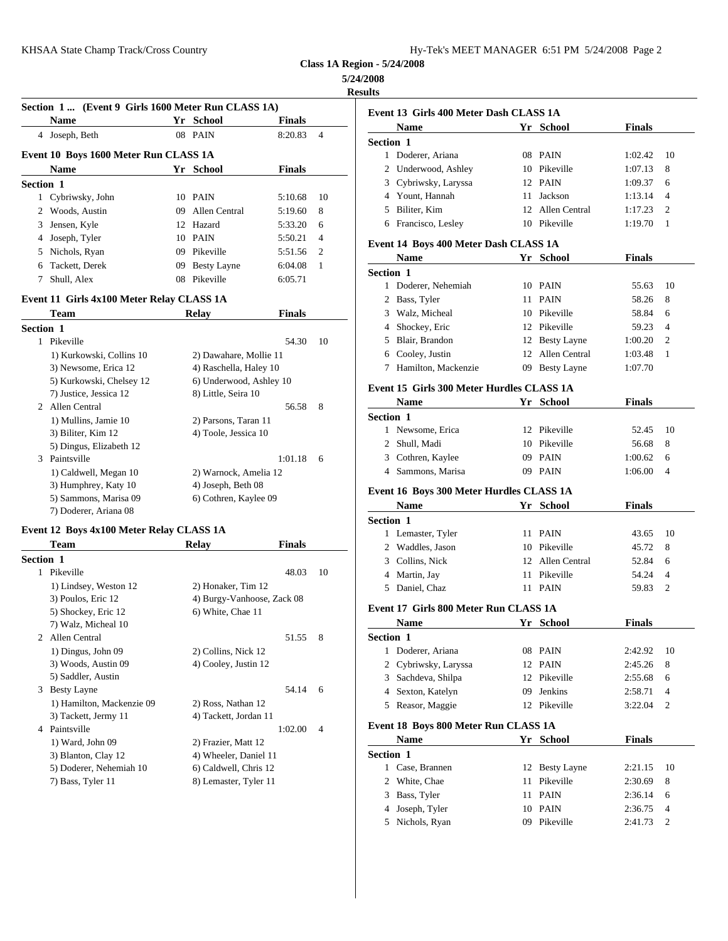**Class 1A Region - 5/24/2008**

### **5/24/2008**

**Results**

| Section 1 (Event 9 Girls 1600 Meter Run CLASS 1A) |    |                    |               |                |                          |
|---------------------------------------------------|----|--------------------|---------------|----------------|--------------------------|
| <b>Name</b>                                       |    | Yr School          | <b>Finals</b> |                | Event 13 G<br><b>Nam</b> |
| Joseph, Beth<br>4                                 |    | 08 PAIN            | 8:20.83       | $\overline{4}$ | <b>Section 1</b>         |
| Event 10 Boys 1600 Meter Run CLASS 1A             |    |                    |               |                | Dode                     |
| <b>Name</b>                                       | Yr | School             | <b>Finals</b> |                | Under<br>2               |
| <b>Section 1</b>                                  |    |                    |               |                | 3 Cybri                  |
| 1 Cybriwsky, John                                 |    | 10 PAIN            | 5:10.68       | 10             | Youn<br>4                |
| Woods, Austin<br>2                                | 09 | Allen Central      | 5:19.60       | 8              | 5 Bilite                 |
| Jensen, Kyle<br>3                                 |    | 12 Hazard          | 5:33.20       | 6              | 6 Franc                  |
| Joseph, Tyler<br>4                                |    | 10 PAIN            | 5:50.21       | $\overline{4}$ | Event 14 B               |
| Nichols, Ryan<br>5                                | 09 | Pikeville          | 5:51.56       | 2              | <b>Nam</b>               |
| Tackett, Derek<br>6                               | 09 | <b>Besty Layne</b> | 6:04.08       | -1             |                          |
| Shull, Alex                                       | 08 | Pikeville          | 6:05.71       |                | Section 1<br>Dode        |

## **Event 11 Girls 4x100 Meter Relay CLASS 1A**

|                  | <b>Team</b>              | <b>Relay</b>            | <b>Finals</b> |    | 3          | Walz,      |
|------------------|--------------------------|-------------------------|---------------|----|------------|------------|
| <b>Section 1</b> |                          |                         |               |    | 4          | Shock      |
| 1.               | Pikeville                |                         | 54.30         | 10 | 5.         | Blair,     |
|                  | 1) Kurkowski, Collins 10 | 2) Dawahare, Mollie 11  |               |    | 6          | Coole      |
|                  | 3) Newsome, Erica 12     | 4) Raschella, Haley 10  |               |    | 7          | Hami       |
|                  | 5) Kurkowski, Chelsey 12 | 6) Underwood, Ashley 10 |               |    |            |            |
|                  | 7) Justice, Jessica 12   | 8) Little, Seira 10     |               |    | Event 15 G |            |
| $2^{\circ}$      | Allen Central            |                         | 56.58         | 8  |            | <b>Nam</b> |
|                  | 1) Mullins, Jamie 10     | 2) Parsons, Taran 11    |               |    | Section 1  |            |
|                  | 3) Biliter, Kim 12       | 4) Toole, Jessica 10    |               |    |            | 1 News     |
|                  | 5) Dingus, Elizabeth 12  |                         |               |    | 2          | Shull,     |
| $\mathcal{F}$    | Paintsville              |                         | 1:01.18       | 6  | 3          | Cothr      |
|                  | 1) Caldwell, Megan 10    | 2) Warnock, Amelia 12   |               |    | 4          | Samn       |
|                  | 3) Humphrey, Katy 10     | 4) Joseph, Beth 08      |               |    |            |            |
|                  | 5) Sammons, Marisa 09    | 6) Cothren, Kaylee 09   |               |    | Event 16 B |            |
|                  | 7) Doderer, Ariana 08    |                         |               |    |            | <b>Nam</b> |

#### **Event 12 Boys 4x100 Meter Relay CLASS 1A**

|                       | Team                      | Finals<br>Relay            |       |                | $\overline{c}$   | Wadd       |
|-----------------------|---------------------------|----------------------------|-------|----------------|------------------|------------|
| <b>Section 1</b>      |                           |                            |       |                | 3                | Collir     |
|                       | 1 Pikeville               |                            | 48.03 | 10             | 4                | Marti      |
|                       | 1) Lindsey, Weston 12     | 2) Honaker, Tim 12         |       |                | 5                | Danie      |
|                       | 3) Poulos, Eric 12        | 4) Burgy-Vanhoose, Zack 08 |       |                |                  |            |
|                       | 5) Shockey, Eric 12       | 6) White, Chae 11          |       |                | Event 17 G       |            |
|                       | 7) Walz, Micheal 10       |                            |       |                |                  | <b>Nam</b> |
| $\mathcal{D}_{\cdot}$ | Allen Central             |                            | 51.55 | 8              | <b>Section 1</b> |            |
|                       | 1) Dingus, John 09        | 2) Collins, Nick 12        |       |                |                  | Dode       |
|                       | 3) Woods, Austin 09       | 4) Cooley, Justin 12       |       |                |                  | 2 Cybri    |
|                       | 5) Saddler, Austin        |                            |       |                | 3                | Sacho      |
| 3                     | <b>Besty Layne</b>        |                            | 54.14 | 6              | 4                | Sexto      |
|                       | 1) Hamilton, Mackenzie 09 | 2) Ross, Nathan 12         |       |                | 5                | Reasc      |
|                       | 3) Tackett, Jermy 11      | 4) Tackett, Jordan 11      |       |                |                  |            |
| 4                     | Paintsville               | 1:02.00                    |       | $\overline{4}$ | Event 18 B       |            |
|                       | 1) Ward, John 09          | 2) Frazier, Matt 12        |       |                |                  | <b>Nam</b> |
|                       | 3) Blanton, Clay 12       | 4) Wheeler, Daniel 11      |       |                | Section 1        |            |
|                       | 5) Doderer, Nehemiah 10   | 6) Caldwell, Chris 12      |       |                |                  | Case,      |
|                       | 7) Bass, Tyler 11         | 8) Lemaster, Tyler 11      |       |                |                  | White      |
|                       |                           |                            |       |                |                  |            |

|                  | Event 13 Girls 400 Meter Dash CLASS 1A    |    |                  |               |                |
|------------------|-------------------------------------------|----|------------------|---------------|----------------|
|                  | <b>Name</b>                               |    | Yr School        | <b>Finals</b> |                |
| <b>Section 1</b> |                                           |    |                  |               |                |
|                  | 1 Doderer, Ariana                         |    | 08 PAIN          | 1:02.42       | 10             |
|                  | 2 Underwood, Ashley                       |    | 10 Pikeville     | 1:07.13       | 8              |
|                  | 3 Cybriwsky, Laryssa                      |    | 12 PAIN          | 1:09.37       | 6              |
|                  | 4 Yount, Hannah                           |    | 11 Jackson       | 1:13.14       | 4              |
|                  | 5 Biliter, Kim                            |    | 12 Allen Central | 1:17.23       | 2              |
|                  | 6 Francisco, Lesley                       |    | 10 Pikeville     | 1:19.70       | 1              |
|                  | Event 14 Boys 400 Meter Dash CLASS 1A     |    |                  |               |                |
|                  | <b>Name</b>                               |    | Yr School        | <b>Finals</b> |                |
| <b>Section 1</b> |                                           |    |                  |               |                |
|                  | 1 Doderer, Nehemiah                       |    | 10 PAIN          | 55.63         | 10             |
|                  | 2 Bass, Tyler                             |    | 11 PAIN          | 58.26         | 8              |
|                  | 3 Walz, Micheal                           |    | 10 Pikeville     | 58.84         | 6              |
|                  | 4 Shockey, Eric                           |    | 12 Pikeville     | 59.23         | $\overline{4}$ |
|                  | 5 Blair, Brandon                          |    | 12 Besty Layne   | 1:00.20       | 2              |
|                  | 6 Cooley, Justin                          |    | 12 Allen Central | 1:03.48       | 1              |
|                  | 7 Hamilton, Mackenzie                     |    |                  | 1:07.70       |                |
|                  |                                           |    | 09 Besty Layne   |               |                |
|                  | Event 15 Girls 300 Meter Hurdles CLASS 1A |    |                  |               |                |
|                  | <b>Name</b>                               |    | Yr School        | Finals        |                |
| <b>Section 1</b> |                                           |    |                  |               |                |
|                  | 1 Newsome, Erica                          |    | 12 Pikeville     | 52.45         | 10             |
|                  | 2 Shull, Madi                             |    | 10 Pikeville     | 56.68         | 8              |
|                  | 3 Cothren, Kaylee                         |    | 09 PAIN          | 1:00.62       | 6              |
|                  | 4 Sammons, Marisa                         |    | 09 PAIN          | 1:06.00       | 4              |
|                  | Event 16 Boys 300 Meter Hurdles CLASS 1A  |    |                  |               |                |
|                  | <b>Name</b>                               |    | Yr School        | Finals        |                |
| <b>Section 1</b> |                                           |    |                  |               |                |
|                  | 1 Lemaster, Tyler                         |    | 11 PAIN          | 43.65         | 10             |
|                  | 2 Waddles, Jason                          |    | 10 Pikeville     | 45.72         | 8              |
|                  | 3 Collins, Nick                           |    | 12 Allen Central | 52.84         | 6              |
|                  | 4 Martin, Jay                             |    | 11 Pikeville     | 54.24         | 4              |
|                  | 5 Daniel, Chaz                            |    | 11 PAIN          | 59.83         | 2              |
|                  |                                           |    |                  |               |                |
|                  | Event 17 Girls 800 Meter Run CLASS 1A     |    |                  |               |                |
|                  | Name                                      |    | Yr School        | <b>Finals</b> |                |
| Section 1        |                                           |    |                  |               |                |
|                  | 1 Doderer, Ariana                         |    | 08 PAIN          | 2:42.92       | 10             |
|                  | 2 Cybriwsky, Laryssa                      |    | 12 PAIN          | 2:45.26       | 8              |
| 3                | Sachdeva, Shilpa                          |    | 12 Pikeville     | 2:55.68       | 6              |
|                  | 4 Sexton, Katelyn                         |    | 09 Jenkins       | 2:58.71       | 4              |
|                  | 5 Reasor, Maggie                          |    | 12 Pikeville     | 3:22.04       | 2              |
|                  | Event 18 Boys 800 Meter Run CLASS 1A      |    |                  |               |                |
|                  | Name                                      |    | Yr School        | <b>Finals</b> |                |
| <b>Section 1</b> |                                           |    |                  |               |                |
|                  | 1 Case, Brannen                           |    | 12 Besty Layne   | 2:21.15       | 10             |
|                  | 2 White, Chae                             |    | 11 Pikeville     | 2:30.69       | 8              |
|                  | 3 Bass, Tyler                             | 11 | PAIN             | 2:36.14       | 6              |
| 4                | Joseph, Tyler                             |    | 10 PAIN          | 2:36.75       | 4              |
| 5                | Nichols, Ryan                             |    | 09 Pikeville     | 2:41.73       | 2              |
|                  |                                           |    |                  |               |                |